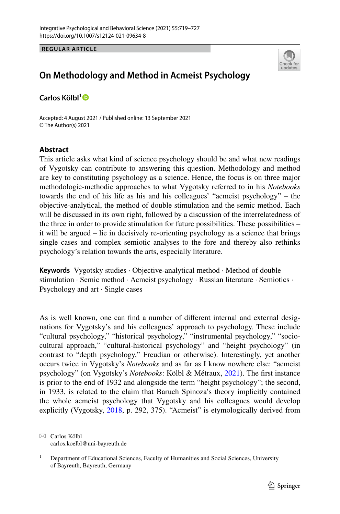**REGULAR ARTICLE**



# **On Methodology and Method in Acmeist Psychology**

**Carlos Kölbl[1](http://orcid.org/0000-0003-3205-2043)**

Accepted: 4 August 2021 / Published online: 13 September 2021 © The Author(s) 2021

# **Abstract**

This article asks what kind of science psychology should be and what new readings of Vygotsky can contribute to answering this question. Methodology and method are key to constituting psychology as a science. Hence, the focus is on three major methodologic-methodic approaches to what Vygotsky referred to in his *Notebooks* towards the end of his life as his and his colleagues' "acmeist psychology" – the objective-analytical, the method of double stimulation and the semic method. Each will be discussed in its own right, followed by a discussion of the interrelatedness of the three in order to provide stimulation for future possibilities. These possibilities – it will be argued – lie in decisively re-orienting psychology as a science that brings single cases and complex semiotic analyses to the fore and thereby also rethinks psychology's relation towards the arts, especially literature.

**Keywords** Vygotsky studies · Objective-analytical method · Method of double stimulation · Semic method · Acmeist psychology · Russian literature · Semiotics · Psychology and art · Single cases

As is well known, one can fnd a number of diferent internal and external designations for Vygotsky's and his colleagues' approach to psychology. These include "cultural psychology," "historical psychology," "instrumental psychology," "sociocultural approach," "cultural-historical psychology" and "height psychology" (in contrast to "depth psychology," Freudian or otherwise). Interestingly, yet another occurs twice in Vygotsky's *Notebooks* and as far as I know nowhere else: "acmeist psychology" (on Vygotsky's *Notebooks*: Kölbl & Métraux, [2021](#page-7-0)). The frst instance is prior to the end of 1932 and alongside the term "height psychology"; the second, in 1933, is related to the claim that Baruch Spinoza's theory implicitly contained the whole acmeist psychology that Vygotsky and his colleagues would develop explicitly (Vygotsky, [2018](#page-8-0), p. 292, 375). "Acmeist" is etymologically derived from

 $\boxtimes$  Carlos Kölbl carlos.koelbl@uni-bayreuth.de

<sup>&</sup>lt;sup>1</sup> Department of Educational Sciences, Faculty of Humanities and Social Sciences, University of Bayreuth, Bayreuth, Germany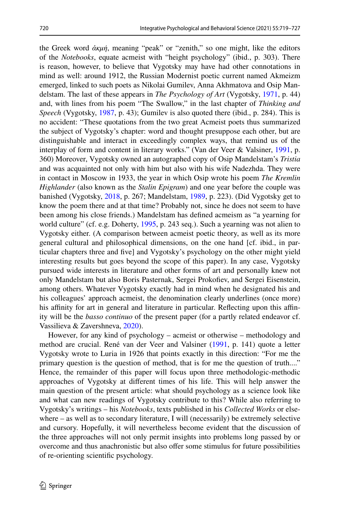the Greek word *ἀκμή*, meaning "peak" or "zenith," so one might, like the editors of the *Notebooks*, equate acmeist with "height psychology" (ibid., p. 303). There is reason, however, to believe that Vygotsky may have had other connotations in mind as well: around 1912, the Russian Modernist poetic current named Akmeizm emerged, linked to such poets as Nikolai Gumilev, Anna Akhmatova and Osip Mandelstam. The last of these appears in *The Psychology of Art* (Vygotsky, [1971](#page-7-1), p. 44) and, with lines from his poem "The Swallow," in the last chapter of *Thinking and Speech* (Vygotsky, [1987,](#page-7-2) p. 43); Gumilev is also quoted there (ibid., p. 284). This is no accident: "These quotations from the two great Acmeist poets thus summarized the subject of Vygotsky's chapter: word and thought presuppose each other, but are distinguishable and interact in exceedingly complex ways, that remind us of the interplay of form and content in literary works." (Van der Veer & Valsiner, [1991,](#page-7-3) p. 360) Moreover, Vygotsky owned an autographed copy of Osip Mandelstam's *Tristia* and was acquainted not only with him but also with his wife Nadezhda. They were in contact in Moscow in 1933, the year in which Osip wrote his poem *The Kremlin Highlander* (also known as the *Stalin Epigram*) and one year before the couple was banished (Vygotsky, [2018](#page-8-0), p. 267; Mandelstam, [1989,](#page-7-4) p. 223). (Did Vygotsky get to know the poem there and at that time? Probably not, since he does not seem to have been among his close friends.) Mandelstam has defned acmeism as "a yearning for world culture" (cf. e.g. Doherty, [1995,](#page-7-5) p. 243 seq.). Such a yearning was not alien to Vygotsky either. (A comparison between acmeist poetic theory, as well as its more general cultural and philosophical dimensions, on the one hand [cf. ibid., in particular chapters three and fve] and Vygotsky's psychology on the other might yield interesting results but goes beyond the scope of this paper). In any case, Vygotsky pursued wide interests in literature and other forms of art and personally knew not only Mandelstam but also Boris Pasternak, Sergei Prokofev, and Sergei Eisenstein, among others. Whatever Vygotsky exactly had in mind when he designated his and his colleagues' approach acmeist, the denomination clearly underlines (once more) his affinity for art in general and literature in particular. Reflecting upon this affinity will be the *basso continuo* of the present paper (for a partly related endeavor cf. Vassilieva & Zavershneva, [2020](#page-7-6)).

However, for any kind of psychology – acmeist or otherwise – methodology and method are crucial. René van der Veer and Valsiner [\(1991](#page-7-3), p. 141) quote a letter Vygotsky wrote to Luria in 1926 that points exactly in this direction: "For me the primary question is the question of method, that is for me the question of truth...." Hence, the remainder of this paper will focus upon three methodologic-methodic approaches of Vygotsky at diferent times of his life. This will help answer the main question of the present article: what should psychology as a science look like and what can new readings of Vygotsky contribute to this? While also referring to Vygotsky's writings – his *Notebooks*, texts published in his *Collected Works* or elsewhere – as well as to secondary literature, I will (necessarily) be extremely selective and cursory. Hopefully, it will nevertheless become evident that the discussion of the three approaches will not only permit insights into problems long passed by or overcome and thus anachronistic but also ofer some stimulus for future possibilities of re-orienting scientifc psychology.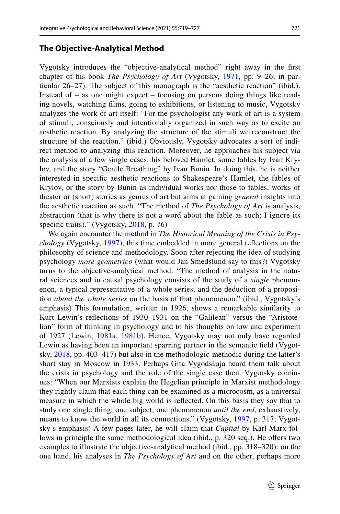### **The Objective‑Analytical Method**

Vygotsky introduces the "objective-analytical method" right away in the frst chapter of his book *The Psychology of Art* (Vygotsky, [1971,](#page-7-1) pp. 9–26; in particular 26–27). The subject of this monograph is the "aesthetic reaction" (ibid.). Instead of – as one might expect – focusing on persons doing things like reading novels, watching flms, going to exhibitions, or listening to music, Vygotsky analyzes the work of art itself: "For the psychologist any work of art is a system of stimuli, consciously and intentionally organized in such way as to excite an aesthetic reaction. By analyzing the structure of the stimuli we reconstruct the structure of the reaction." (ibid.) Obviously, Vygotsky advocates a sort of indirect method to analyzing this reaction. Moreover, he approaches his subject via the analysis of a few single cases: his beloved Hamlet, some fables by Ivan Krylov, and the story "Gentle Breathing" by Ivan Bunin. In doing this, he is neither interested in specifc aesthetic reactions to Shakespeare's Hamlet, the fables of Krylov, or the story by Bunin as individual works nor those to fables, works of theater or (short) stories as genres of art but aims at gaining *general* insights into the aesthetic reaction as such. "The method of *The Psychology of Art* is analysis, abstraction (that is why there is not a word about the fable as such; I ignore its specific traits)." (Vygotsky, [2018,](#page-8-0) p. 76)

We again encounter the method in *The Historical Meaning of the Crisis in Psychology* (Vygotsky, [1997\)](#page-8-1), this time embedded in more general refections on the philosophy of science and methodology. Soon after rejecting the idea of studying psychology *more geometrico* (what would Jan Smedslund say to this?) Vygotsky turns to the objective-analytical method: "The method of analysis in the natural sciences and in causal psychology consists of the study of a *single* phenomenon, a typical representative of a whole series, and the deduction of a proposition *about the whole series* on the basis of that phenomenon." (ibid., Vygotsky's emphasis) This formulation, written in 1926, shows a remarkable similarity to Kurt Lewin's refections of 1930–1931 on the "Galilean" versus the "Aristotelian" form of thinking in psychology and to his thoughts on law and experiment of 1927 (Lewin, [1981a,](#page-7-7) [1981b](#page-7-8)). Hence, Vygotsky may not only have regarded Lewin as having been an important sparring partner in the semantic feld (Vygotsky, [2018,](#page-8-0) pp. 403–417) but also in the methodologic-methodic during the latter's short stay in Moscow in 1933. Perhaps Gita Vygodskaja heard them talk about the crisis in psychology and the role of the single case then. Vygotsky continues: "When our Marxists explain the Hegelian principle in Marxist methodology they rightly claim that each thing can be examined as a microcosm, as a universal measure in which the whole big world is refected. On this basis they say that to study one single thing, one subject, one phenomenon *until the end*, exhaustively, means to know the world in all its connections." (Vygotsky, [1997,](#page-8-1) p. 317; Vygotsky's emphasis) A few pages later, he will claim that *Capital* by Karl Marx follows in principle the same methodological idea (ibid., p. 320 seq.). He offers two examples to illustrate the objective-analytical method (ibid., pp. 318–320): on the one hand, his analyses in *The Psychology of Art* and on the other, perhaps more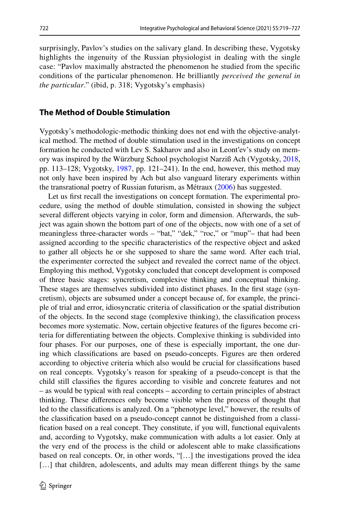surprisingly, Pavlov's studies on the salivary gland. In describing these, Vygotsky highlights the ingenuity of the Russian physiologist in dealing with the single case: "Pavlov maximally abstracted the phenomenon he studied from the specifc conditions of the particular phenomenon. He brilliantly *perceived the general in the particular*." (ibid, p. 318; Vygotsky's emphasis)

## **The Method of Double Stimulation**

Vygotsky's methodologic-methodic thinking does not end with the objective-analytical method. The method of double stimulation used in the investigations on concept formation he conducted with Lev S. Sakharov and also in Leont′ev's study on memory was inspired by the Würzburg School psychologist Narziß Ach (Vygotsky, [2018,](#page-8-0) pp. 113–128; Vygotsky, [1987](#page-7-2), pp. 121–241). In the end, however, this method may not only have been inspired by Ach but also vanguard literary experiments within the transrational poetry of Russian futurism, as Métraux ([2006\)](#page-7-9) has suggested.

Let us first recall the investigations on concept formation. The experimental procedure, using the method of double stimulation, consisted in showing the subject several diferent objects varying in color, form and dimension. Afterwards, the subject was again shown the bottom part of one of the objects, now with one of a set of meaningless three-character words – "bat," "dek," "roc," or "mup"– that had been assigned according to the specifc characteristics of the respective object and asked to gather all objects he or she supposed to share the same word. After each trial, the experimenter corrected the subject and revealed the correct name of the object. Employing this method, Vygotsky concluded that concept development is composed of three basic stages: syncretism, complexive thinking and conceptual thinking. These stages are themselves subdivided into distinct phases. In the frst stage (syncretism), objects are subsumed under a concept because of, for example, the principle of trial and error, idiosyncratic criteria of classifcation or the spatial distribution of the objects. In the second stage (complexive thinking), the classifcation process becomes more systematic. Now, certain objective features of the fgures become criteria for diferentiating between the objects. Complexive thinking is subdivided into four phases. For our purposes, one of these is especially important, the one during which classifcations are based on pseudo-concepts. Figures are then ordered according to objective criteria which also would be crucial for classifcations based on real concepts. Vygotsky's reason for speaking of a pseudo-concept is that the child still classifes the fgures according to visible and concrete features and not – as would be typical with real concepts – according to certain principles of abstract thinking. These diferences only become visible when the process of thought that led to the classifcations is analyzed. On a "phenotype level," however, the results of the classifcation based on a pseudo-concept cannot be distinguished from a classifcation based on a real concept. They constitute, if you will, functional equivalents and, according to Vygotsky, make communication with adults a lot easier. Only at the very end of the process is the child or adolescent able to make classifcations based on real concepts. Or, in other words, "[…] the investigations proved the idea [...] that children, adolescents, and adults may mean different things by the same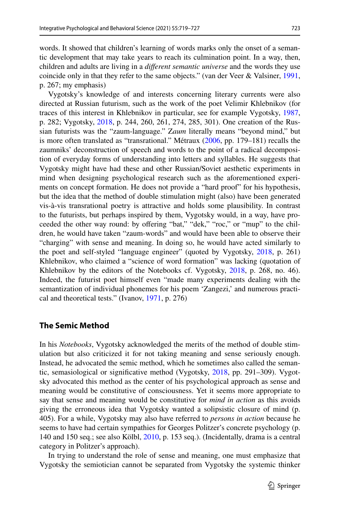words. It showed that children's learning of words marks only the onset of a semantic development that may take years to reach its culmination point. In a way, then, children and adults are living in a *diferent semantic universe* and the words they use coincide only in that they refer to the same objects." (van der Veer & Valsiner, [1991,](#page-7-3) p. 267; my emphasis)

Vygotsky's knowledge of and interests concerning literary currents were also directed at Russian futurism, such as the work of the poet Velimir Khlebnikov (for traces of this interest in Khlebnikov in particular, see for example Vygotsky, [1987,](#page-7-2) p. 282; Vygotsky, [2018](#page-8-0), p. 244, 260, 261, 274, 285, 301). One creation of the Russian futurists was the "zaum-language." Z*aum* literally means "beyond mind," but is more often translated as "transrational." Métraux ([2006,](#page-7-9) pp. 179–181) recalls the zaumniks' deconstruction of speech and words to the point of a radical decomposition of everyday forms of understanding into letters and syllables. He suggests that Vygotsky might have had these and other Russian/Soviet aesthetic experiments in mind when designing psychological research such as the aforementioned experiments on concept formation. He does not provide a "hard proof" for his hypothesis, but the idea that the method of double stimulation might (also) have been generated vis-à-vis transrational poetry is attractive and holds some plausibility. In contrast to the futurists, but perhaps inspired by them, Vygotsky would, in a way, have proceeded the other way round: by ofering "bat," "dek," "roc," or "mup" to the children, he would have taken "zaum-words" and would have been able to observe their "charging" with sense and meaning. In doing so, he would have acted similarly to the poet and self-styled "language engineer" (quoted by Vygotsky, [2018,](#page-8-0) p. 261) Khlebnikov, who claimed a "science of word formation" was lacking (quotation of Khlebnikov by the editors of the Notebooks cf. Vygotsky, [2018,](#page-8-0) p. 268, no. 46). Indeed, the futurist poet himself even "made many experiments dealing with the semantization of individual phonemes for his poem 'Zangezi,' and numerous practical and theoretical tests." (Ivanov, [1971,](#page-7-10) p. 276)

#### **The Semic Method**

In his *Notebooks*, Vygotsky acknowledged the merits of the method of double stimulation but also criticized it for not taking meaning and sense seriously enough. Instead, he advocated the semic method, which he sometimes also called the semantic, semasiological or signifcative method (Vygotsky, [2018](#page-8-0), pp. 291–309). Vygotsky advocated this method as the center of his psychological approach as sense and meaning would be constitutive of consciousness. Yet it seems more appropriate to say that sense and meaning would be constitutive for *mind in action* as this avoids giving the erroneous idea that Vygotsky wanted a solipsistic closure of mind (p. 405). For a while, Vygotsky may also have referred to *persons in action* because he seems to have had certain sympathies for Georges Politzer's concrete psychology (p. 140 and 150 seq.; see also Kölbl, [2010,](#page-7-11) p. 153 seq.). (Incidentally, drama is a central category in Politzer's approach).

In trying to understand the role of sense and meaning, one must emphasize that Vygotsky the semiotician cannot be separated from Vygotsky the systemic thinker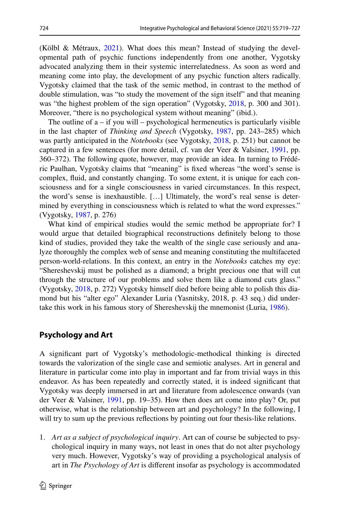(Kölbl & Métraux, [2021](#page-7-0)). What does this mean? Instead of studying the developmental path of psychic functions independently from one another, Vygotsky advocated analyzing them in their systemic interrelatedness. As soon as word and meaning come into play, the development of any psychic function alters radically. Vygotsky claimed that the task of the semic method, in contrast to the method of double stimulation, was "to study the movement of the sign itself" and that meaning was "the highest problem of the sign operation" (Vygotsky, [2018,](#page-8-0) p. 300 and 301). Moreover, "there is no psychological system without meaning" (ibid.).

The outline of  $a - if$  you will – psychological hermeneutics is particularly visible in the last chapter of *Thinking and Speech* (Vygotsky, [1987](#page-7-2), pp. 243–285) which was partly anticipated in the *Notebooks* (see Vygotsky, [2018](#page-8-0), p. 251) but cannot be captured in a few sentences (for more detail, cf. van der Veer & Valsiner, [1991](#page-7-3), pp. 360–372). The following quote, however, may provide an idea. In turning to Frédéric Paulhan, Vygotsky claims that "meaning" is fxed whereas "the word's sense is complex, fuid, and constantly changing. To some extent, it is unique for each consciousness and for a single consciousness in varied circumstances. In this respect, the word's sense is inexhaustible. […] Ultimately, the word's real sense is determined by everything in consciousness which is related to what the word expresses." (Vygotsky, [1987,](#page-7-2) p. 276)

What kind of empirical studies would the semic method be appropriate for? I would argue that detailed biographical reconstructions defnitely belong to those kind of studies, provided they take the wealth of the single case seriously and analyze thoroughly the complex web of sense and meaning constituting the multifaceted person-world-relations. In this context, an entry in the *Notebooks* catches my eye: "Shereshevskij must be polished as a diamond; a bright precious one that will cut through the structure of our problems and solve them like a diamond cuts glass." (Vygotsky, [2018](#page-8-0), p. 272) Vygotsky himself died before being able to polish this diamond but his "alter ego" Alexander Luria (Yasnitsky, 2018, p. 43 seq.) did undertake this work in his famous story of Shereshevskij the mnemonist (Luria, [1986\)](#page-7-12).

# **Psychology and Art**

A signifcant part of Vygotsky's methodologic-methodical thinking is directed towards the valorization of the single case and semiotic analyses. Art in general and literature in particular come into play in important and far from trivial ways in this endeavor. As has been repeatedly and correctly stated, it is indeed signifcant that Vygotsky was deeply immersed in art and literature from adolescence onwards (van der Veer & Valsiner, [1991](#page-7-3), pp. 19–35). How then does art come into play? Or, put otherwise, what is the relationship between art and psychology? In the following, I will try to sum up the previous reflections by pointing out four thesis-like relations.

1. *Art as a subject of psychological inquiry*. Art can of course be subjected to psychological inquiry in many ways, not least in ones that do not alter psychology very much. However, Vygotsky's way of providing a psychological analysis of art in *The Psychology of Art* is diferent insofar as psychology is accommodated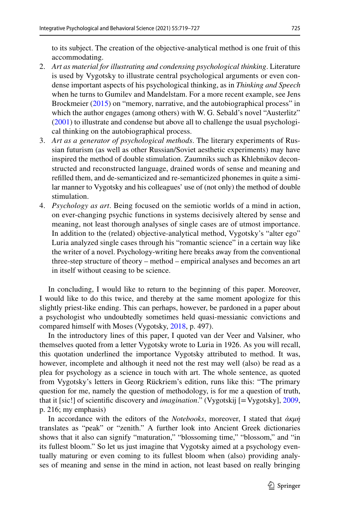to its subject. The creation of the objective-analytical method is one fruit of this accommodating.

- 2. *Art as material for illustrating and condensing psychological thinking*. Literature is used by Vygotsky to illustrate central psychological arguments or even condense important aspects of his psychological thinking, as in *Thinking and Speech* when he turns to Gumilev and Mandelstam. For a more recent example, see Jens Brockmeier ([2015](#page-7-13)) on "memory, narrative, and the autobiographical process" in which the author engages (among others) with W. G. Sebald's novel "Austerlitz" [\(2001](#page-7-14)) to illustrate and condense but above all to challenge the usual psychological thinking on the autobiographical process.
- 3. *Art as a generator of psychological methods*. The literary experiments of Russian futurism (as well as other Russian/Soviet aesthetic experiments) may have inspired the method of double stimulation. Zaumniks such as Khlebnikov deconstructed and reconstructed language, drained words of sense and meaning and reflled them, and de-semanticized and re-semanticized phonemes in quite a similar manner to Vygotsky and his colleagues' use of (not only) the method of double stimulation.
- 4. *Psychology as art*. Being focused on the semiotic worlds of a mind in action, on ever-changing psychic functions in systems decisively altered by sense and meaning, not least thorough analyses of single cases are of utmost importance. In addition to the (related) objective-analytical method, Vygotsky's "alter ego" Luria analyzed single cases through his "romantic science" in a certain way like the writer of a novel. Psychology-writing here breaks away from the conventional three-step structure of theory – method – empirical analyses and becomes an art in itself without ceasing to be science.

In concluding, I would like to return to the beginning of this paper. Moreover, I would like to do this twice, and thereby at the same moment apologize for this slightly priest-like ending. This can perhaps, however, be pardoned in a paper about a psychologist who undoubtedly sometimes held quasi-messianic convictions and compared himself with Moses (Vygotsky, [2018](#page-8-0), p. 497).

In the introductory lines of this paper, I quoted van der Veer and Valsiner, who themselves quoted from a letter Vygotsky wrote to Luria in 1926. As you will recall, this quotation underlined the importance Vygotsky attributed to method. It was, however, incomplete and although it need not the rest may well (also) be read as a plea for psychology as a science in touch with art. The whole sentence, as quoted from Vygotsky's letters in Georg Rückriem's edition, runs like this: "The primary question for me, namely the question of methodology, is for me a question of truth, that it [sic!] of scientifc discovery and *imagination*." (Vygotskij [=Vygotsky], [2009,](#page-7-15) p. 216; my emphasis)

In accordance with the editors of the *Notebooks*, moreover, I stated that *ἀκμή* translates as "peak" or "zenith." A further look into Ancient Greek dictionaries shows that it also can signify "maturation," "blossoming time," "blossom," and "in its fullest bloom." So let us just imagine that Vygotsky aimed at a psychology eventually maturing or even coming to its fullest bloom when (also) providing analyses of meaning and sense in the mind in action, not least based on really bringing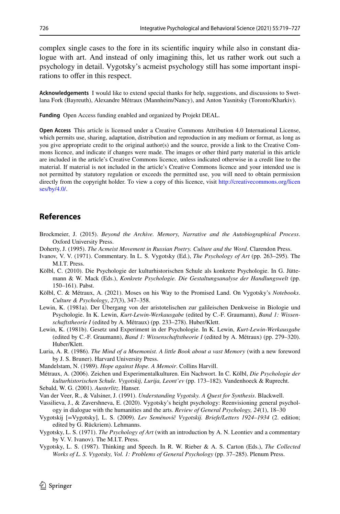complex single cases to the fore in its scientifc inquiry while also in constant dialogue with art. And instead of only imagining this, let us rather work out such a psychology in detail. Vygotsky's acmeist psychology still has some important inspirations to offer in this respect.

**Acknowledgements** I would like to extend special thanks for help, suggestions, and discussions to Swetlana Fork (Bayreuth), Alexandre Métraux (Mannheim/Nancy), and Anton Yasnitsky (Toronto/Kharkiv).

**Funding** Open Access funding enabled and organized by Projekt DEAL.

**Open Access** This article is licensed under a Creative Commons Attribution 4.0 International License, which permits use, sharing, adaptation, distribution and reproduction in any medium or format, as long as you give appropriate credit to the original author(s) and the source, provide a link to the Creative Commons licence, and indicate if changes were made. The images or other third party material in this article are included in the article's Creative Commons licence, unless indicated otherwise in a credit line to the material. If material is not included in the article's Creative Commons licence and your intended use is not permitted by statutory regulation or exceeds the permitted use, you will need to obtain permission directly from the copyright holder. To view a copy of this licence, visit [http://creativecommons.org/licen](http://creativecommons.org/licenses/by/4.0/) [ses/by/4.0/](http://creativecommons.org/licenses/by/4.0/).

# **References**

- <span id="page-7-13"></span>Brockmeier, J. (2015). *Beyond the Archive. Memory, Narrative and the Autobiographical Process*. Oxford University Press.
- <span id="page-7-5"></span>Doherty, J. (1995). *The Acmeist Movement in Russian Poetry. Culture and the Word*. Clarendon Press.
- <span id="page-7-10"></span>Ivanov, V. V. (1971). Commentary. In L. S. Vygotsky (Ed.), *The Psychology of Art* (pp. 263–295). The M.I.T. Press.
- <span id="page-7-11"></span>Kölbl, C. (2010). Die Psychologie der kulturhistorischen Schule als konkrete Psychologie. In G. Jüttemann & W. Mack (Eds.), *Konkrete Psychologie. Die Gestaltungsanalyse der Handlungswelt* (pp. 150–161). Pabst.
- <span id="page-7-0"></span>Kölbl, C. & Métraux, A. (2021). Moses on his Way to the Promised Land. On Vygotsky's *Notebooks*. *Culture & Psychology*, *27*(3), 347–358.
- <span id="page-7-7"></span>Lewin, K. (1981a). Der Übergang von der aristotelischen zur galileischen Denkweise in Biologie und Psychologie. In K. Lewin, *Kurt-Lewin-Werkausgabe* (edited by C.-F. Graumann), *Band 1: Wissenschaftstheorie I* (edited by A. Métraux) (pp. 233–278). Huber/Klett.
- <span id="page-7-8"></span>Lewin, K. (1981b). Gesetz und Experiment in der Psychologie. In K. Lewin, *Kurt-Lewin-Werkausgabe* (edited by C.-F. Graumann), *Band 1: Wissenschaftstheorie I* (edited by A. Métraux) (pp. 279–320). Huber/Klett.
- <span id="page-7-12"></span>Luria, A. R. (1986). *The Mind of a Mnemonist. A little Book about a vast Memory* (with a new foreword by J. S. Bruner). Harvard University Press.
- <span id="page-7-4"></span>Mandelstam, N. (1989). *Hope against Hope. A Memoir*. Collins Harvill.
- <span id="page-7-9"></span>Métraux, A. (2006). Zeichen und Experimentalkulturen. Ein Nachwort. In C. Kölbl, *Die Psychologie der kulturhistorischen Schule. Vygotskij, Lurija, Leont'ev* (pp. 173–182). Vandenhoeck & Ruprecht.
- <span id="page-7-14"></span>Sebald, W. G. (2001). *Austerlitz*. Hanser.
- <span id="page-7-3"></span>Van der Veer, R., & Valsiner, J. (1991). *Understanding Vygotsky. A Quest for Synthesis*. Blackwell.
- <span id="page-7-6"></span>Vassilieva, J., & Zavershneva, E. (2020). Vygotsky's height psychology: Reenvisioning general psychology in dialogue with the humanities and the arts. *Review of General Psychology, 24*(1), 18–30
- <span id="page-7-15"></span>Vygotskij [=Vygotsky], L. S. (2009). *Lev Semënovič Vygotskij. Briefe/Letters 1924–1934* (2. edition; edited by G. Rückriem). Lehmanns.
- <span id="page-7-1"></span>Vygotsky, L. S. (1971). *The Psychology of Art* (with an introduction by A. N. Leontiev and a commentary by V. V. Ivanov). The M.I.T. Press.
- <span id="page-7-2"></span>Vygotsky, L. S. (1987). Thinking and Speech. In R. W. Rieber & A. S. Carton (Eds.), *The Collected Works of L. S. Vygotsky, Vol. 1: Problems of General Psychology* (pp. 37–285). Plenum Press.